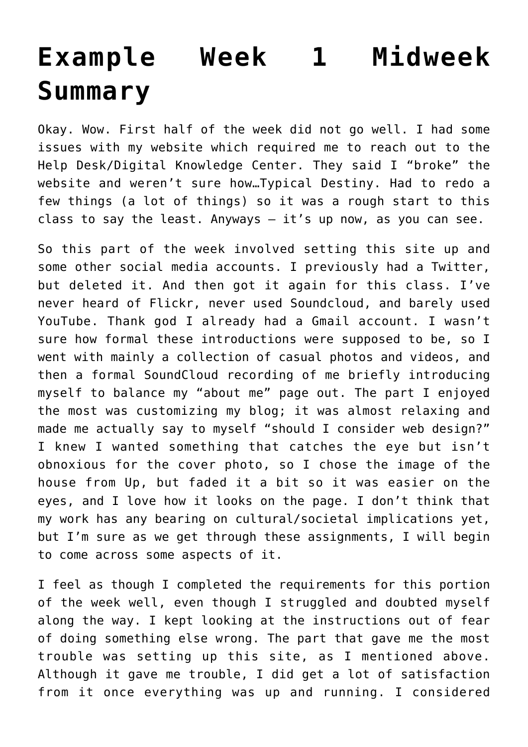## **[Example Week 1 Midweek](http://ds106.jenpolack.com/?page_id=2396) [Summary](http://ds106.jenpolack.com/?page_id=2396)**

Okay. Wow. First half of the week did not go well. I had some issues with my website which required me to reach out to the Help Desk/Digital Knowledge Center. They said I "broke" the website and weren't sure how…Typical Destiny. Had to redo a few things (a lot of things) so it was a rough start to this class to say the least. Anyways  $-$  it's up now, as you can see.

So this part of the week involved setting this site up and some other social media accounts. I previously had a [Twitter,](https://twitter.com/destiny47362) but deleted it. And then got it again for this class. I've never heard of [Flickr](https://flickr.com/photos/193307115@N02/albums), never used [Soundcloud](https://soundcloud.com/user-798215329), and barely used [YouTube.](https://www.youtube.com/channel/UC6R0RFPAM8IvGQu9yH5jsew) Thank god I already had a Gmail account. I wasn't sure how formal these introductions were supposed to be, so I went with mainly a collection of casual photos and videos, and then a formal SoundCloud recording of me briefly introducing myself to balance my "about me" page out. The part I enjoyed the most was customizing my blog; it was almost relaxing and made me actually say to myself "should I consider web design?" I knew I wanted something that catches the eye but isn't obnoxious for the cover photo, so I chose the image of the house from Up, but faded it a bit so it was easier on the eyes, and I love how it looks on the page. I don't think that my work has any bearing on cultural/societal implications yet, but I'm sure as we get through these assignments, I will begin to come across some aspects of it.

I feel as though I completed the requirements for this portion of the week well, even though I struggled and doubted myself along the way. I kept looking at the instructions out of fear of doing something else wrong. The part that gave me the most trouble was setting up this site, as I mentioned above. Although it gave me trouble, I did get a lot of satisfaction from it once everything was up and running. I considered